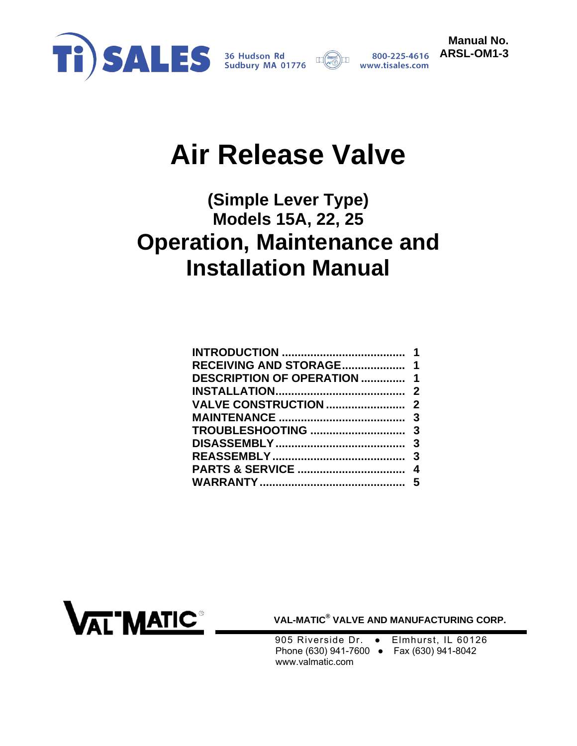



**Manual No.** 

# **Air Release Valve**

## **(Simple Lever Type) Models 15A, 22, 25 Operation, Maintenance and Installation Manual**

| <b>RECEIVING AND STORAGE 1</b> |  |
|--------------------------------|--|
| DESCRIPTION OF OPERATION  1    |  |
|                                |  |
|                                |  |
|                                |  |
|                                |  |
|                                |  |
|                                |  |
|                                |  |
|                                |  |
|                                |  |



 **VAL-MATIC® VALVE AND MANUFACTURING CORP.** 

905 Riverside Dr. • Elmhurst, IL 60126 Phone (630) 941-7600 ● Fax (630) 941-8042 www.valmatic.com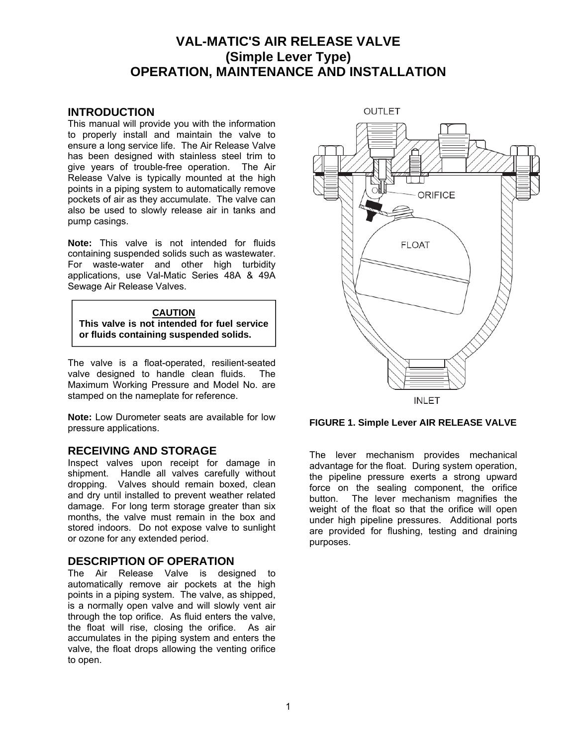### **VAL-MATIC'S AIR RELEASE VALVE (Simple Lever Type) OPERATION, MAINTENANCE AND INSTALLATION**

#### <span id="page-1-0"></span>**INTRODUCTION**

This manual will provide you with the information to properly install and maintain the valve to ensure a long service life. The Air Release Valve has been designed with stainless steel trim to give years of trouble-free operation. The Air Release Valve is typically mounted at the high points in a piping system to automatically remove pockets of air as they accumulate. The valve can also be used to slowly release air in tanks and pump casings.

**Note:** This valve is not intended for fluids containing suspended solids such as wastewater. For waste-water and other high turbidity applications, use Val-Matic Series 48A & 49A Sewage Air Release Valves.

#### **CAUTION This valve is not intended for fuel service or fluids containing suspended solids.**

The valve is a float-operated, resilient-seated valve designed to handle clean fluids. The Maximum Working Pressure and Model No. are stamped on the nameplate for reference.

**Note:** Low Durometer seats are available for low pressure applications.

#### **RECEIVING AND STORAGE**

Inspect valves upon receipt for damage in shipment. Handle all valves carefully without dropping. Valves should remain boxed, clean and dry until installed to prevent weather related damage. For long term storage greater than six months, the valve must remain in the box and stored indoors. Do not expose valve to sunlight or ozone for any extended period.

#### **DESCRIPTION OF OPERATION**

The Air Release Valve is designed to automatically remove air pockets at the high points in a piping system. The valve, as shipped, is a normally open valve and will slowly vent air through the top orifice. As fluid enters the valve, the float will rise, closing the orifice. As air accumulates in the piping system and enters the valve, the float drops allowing the venting orifice to open.



#### **FIGURE 1. Simple Lever AIR RELEASE VALVE**

The lever mechanism provides mechanical advantage for the float. During system operation, the pipeline pressure exerts a strong upward force on the sealing component, the orifice button. The lever mechanism magnifies the weight of the float so that the orifice will open under high pipeline pressures. Additional ports are provided for flushing, testing and draining purposes.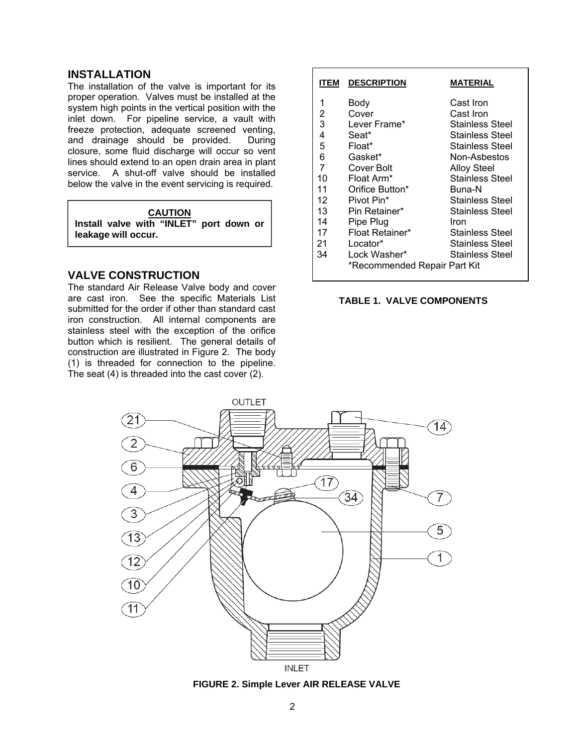#### <span id="page-2-0"></span>**INSTALLATION**

The installation of the valve is important for its proper operation. Valves must be installed at the system high points in the vertical position with the inlet down. For pipeline service, a vault with freeze protection, adequate screened venting, and drainage should be provided. During closure, some fluid discharge will occur so vent lines should extend to an open drain area in plant service. A shut-off valve should be installed below the valve in the event servicing is required.

#### **CAUTION**

**Install valve with "INLET" port down or leakage will occur.**

#### **VALVE CONSTRUCTION**

The standard Air Release Valve body and cover are cast iron. See the specific Materials List submitted for the order if other than standard cast iron construction. All internal components are stainless steel with the exception of the orifice button which is resilient. The general details of construction are illustrated in Figure 2. The body (1) is threaded for connection to the pipeline. The seat (4) is threaded into the cast cover (2).

| ITEM | <b>DESCRIPTION</b>           | <b>MATERIAL</b>        |
|------|------------------------------|------------------------|
| 1    | Body                         | Cast Iron              |
| 2    | Cover                        | Cast Iron              |
| 3    | Lever Frame*                 | Stainless Steel        |
| 4    | Seat*                        | <b>Stainless Steel</b> |
| 5    | Float*                       | <b>Stainless Steel</b> |
| 6    | Gasket*                      | Non-Asbestos           |
| 7    | Cover Bolt                   | <b>Alloy Steel</b>     |
| 10   | Float Arm*                   | <b>Stainless Steel</b> |
| 11   | Orifice Button*              | Buna-N                 |
| 12   | Pivot Pin*                   | <b>Stainless Steel</b> |
| 13   | Pin Retainer*                | <b>Stainless Steel</b> |
| 14   | Pipe Plug                    | Iron                   |
| 17   | Float Retainer*              | <b>Stainless Steel</b> |
| 21   | Locator*                     | <b>Stainless Steel</b> |
| 34   | Lock Washer*                 | Stainless Steel        |
|      | *Recommended Repair Part Kit |                        |

#### **TABLE 1. VALVE COMPONENTS**



**FIGURE 2. Simple Lever AIR RELEASE VALVE**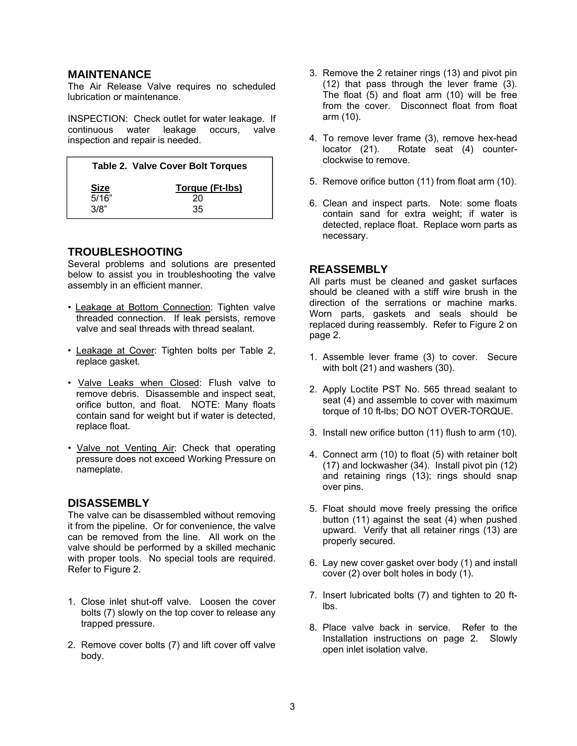#### <span id="page-3-0"></span>**MAINTENANCE**

The Air Release Valve requires no scheduled lubrication or maintenance.

INSPECTION: Check outlet for water leakage. If continuous water leakage occurs, valve inspection and repair is needed.

|             | <b>Table 2. Valve Cover Bolt Torques</b> |  |  |
|-------------|------------------------------------------|--|--|
| <b>Size</b> | Torque (Ft-Ibs)                          |  |  |
| 5/16"       | 20                                       |  |  |
| 3/8"        | 35                                       |  |  |

#### **TROUBLESHOOTING**

Several problems and solutions are presented below to assist you in troubleshooting the valve assembly in an efficient manner.

- Leakage at Bottom Connection: Tighten valve threaded connection. If leak persists, remove valve and seal threads with thread sealant.
- Leakage at Cover: Tighten bolts per Table 2, replace gasket.
- Valve Leaks when Closed: Flush valve to remove debris. Disassemble and inspect seat, orifice button, and float. NOTE: Many floats contain sand for weight but if water is detected, replace float.
- Valve not Venting Air: Check that operating pressure does not exceed Working Pressure on nameplate.

#### **DISASSEMBLY**

The valve can be disassembled without removing it from the pipeline. Or for convenience, the valve can be removed from the line. All work on the valve should be performed by a skilled mechanic with proper tools. No special tools are required. Refer to Figure 2.

- 1. Close inlet shut-off valve. Loosen the cover bolts (7) slowly on the top cover to release any trapped pressure.
- 2. Remove cover bolts (7) and lift cover off valve body.
- 3. Remove the 2 retainer rings (13) and pivot pin (12) that pass through the lever frame (3). The float (5) and float arm (10) will be free from the cover. Disconnect float from float arm (10).
- 4. To remove lever frame (3), remove hex-head locator (21). Rotate seat (4) counterclockwise to remove.
- 5. Remove orifice button (11) from float arm (10).
- 6. Clean and inspect parts. Note: some floats contain sand for extra weight; if water is detected, replace float. Replace worn parts as necessary.

#### **REASSEMBLY**

All parts must be cleaned and gasket surfaces should be cleaned with a stiff wire brush in the direction of the serrations or machine marks. Worn parts, gaskets and seals should be replaced during reassembly. Refer to Figure 2 on page 2.

- 1. Assemble lever frame (3) to cover. Secure with bolt (21) and washers (30).
- 2. Apply Loctite PST No. 565 thread sealant to seat (4) and assemble to cover with maximum torque of 10 ft-lbs; DO NOT OVER-TORQUE.
- 3. Install new orifice button (11) flush to arm (10).
- 4. Connect arm (10) to float (5) with retainer bolt (17) and lockwasher (34). Install pivot pin (12) and retaining rings (13); rings should snap over pins.
- 5. Float should move freely pressing the orifice button (11) against the seat (4) when pushed upward. Verify that all retainer rings (13) are properly secured.
- 6. Lay new cover gasket over body (1) and install cover (2) over bolt holes in body (1).
- 7. Insert lubricated bolts (7) and tighten to 20 ftlbs.
- 8. Place valve back in service. Refer to the Installation instructions on page 2. Slowly open inlet isolation valve.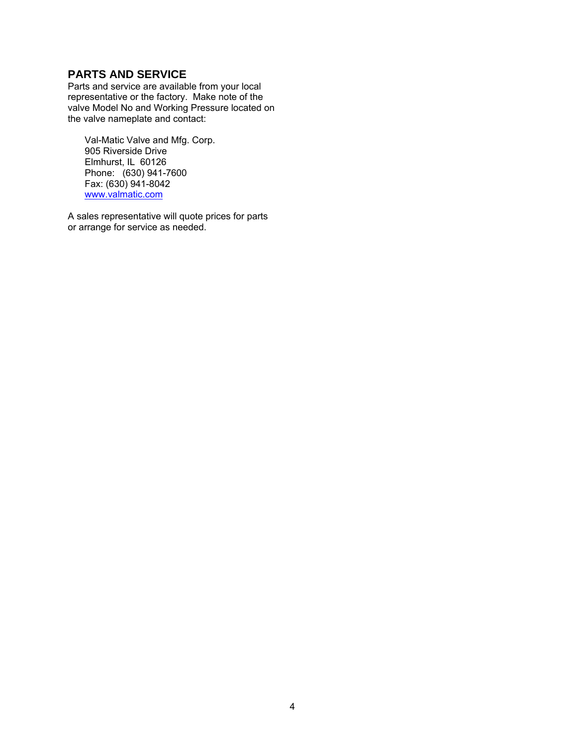#### <span id="page-4-0"></span>**PARTS AND SERVICE**

Parts and service are available from your local representative or the factory. Make note of the valve Model No and Working Pressure located on the valve nameplate and contact:

Val-Matic Valve and Mfg. Corp. 905 Riverside Drive Elmhurst, IL 60126 Phone: (630) 941-7600 Fax: (630) 941-8042 www.valmatic.com

A sales representative will quote prices for parts or arrange for service as needed.